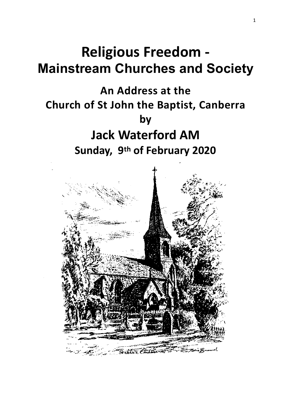## **Religious Freedom -Mainstream Churches and Society**

### An Address at the **Church of St John the Baptist, Canberra by Jack Waterford AM** Sunday, 9<sup>th</sup> of February 2020

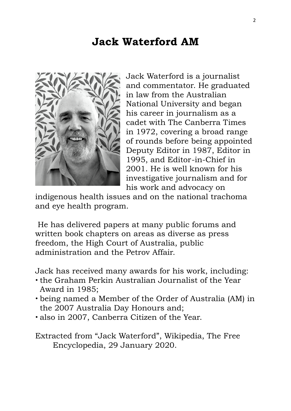### **Jack Waterford AM**



Jack Waterford is a journalist and commentator. He graduated in law from the Australian National University and began his career in journalism as a cadet with The Canberra Times in 1972, covering a broad range of rounds before being appointed Deputy Editor in 1987, Editor in 1995, and Editor-in-Chief in 2001. He is well known for his investigative journalism and for his work and advocacy on

indigenous health issues and on the national trachoma and eye health program.

 He has delivered papers at many public forums and written book chapters on areas as diverse as [press](https://en.wikipedia.org/wiki/Press_freedom)  [freedom,](https://en.wikipedia.org/wiki/Press_freedom) the [High Court of Australia,](https://en.wikipedia.org/wiki/High_Court_of_Australia) [public](https://en.wikipedia.org/wiki/Public_administration)  [administration](https://en.wikipedia.org/wiki/Public_administration) and the [Petrov Affair.](https://en.wikipedia.org/wiki/Petrov_Affair)

Jack has received many awards for his work, including:

- the Graham Perkin Australian Journalist of the Year Award in 1985;
- being named a Member of the Order of Australia (AM) in the 2007 Australia Day Honours and;
- also in 2007, Canberra Citizen of the Year.

Extracted from "Jack Waterford", Wikipedia, The Free Encyclopedia, 29 January 2020.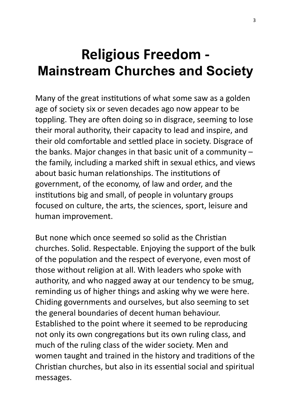# **Religious Freedom -Mainstream Churches and Society**

Many of the great institutions of what some saw as a golden age of society six or seven decades ago now appear to be toppling. They are often doing so in disgrace, seeming to lose their moral authority, their capacity to lead and inspire, and their old comfortable and settled place in society. Disgrace of the banks. Major changes in that basic unit of a community  $$ the family, including a marked shift in sexual ethics, and views about basic human relationships. The institutions of government, of the economy, of law and order, and the institutions big and small, of people in voluntary groups focused on culture, the arts, the sciences, sport, leisure and human improvement.

But none which once seemed so solid as the Christian churches. Solid. Respectable. Enjoying the support of the bulk of the population and the respect of everyone, even most of those without religion at all. With leaders who spoke with authority, and who nagged away at our tendency to be smug, reminding us of higher things and asking why we were here. Chiding governments and ourselves, but also seeming to set the general boundaries of decent human behaviour. Established to the point where it seemed to be reproducing not only its own congregations but its own ruling class, and much of the ruling class of the wider society. Men and women taught and trained in the history and traditions of the Christian churches, but also in its essential social and spiritual messages.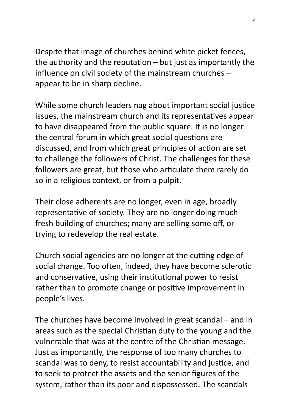Despite that image of churches behind white picket fences, the authority and the reputation  $-$  but just as importantly the influence on civil society of the mainstream churches  $$ appear to be in sharp decline.

While some church leaders nag about important social justice issues, the mainstream church and its representatives appear to have disappeared from the public square. It is no longer the central forum in which great social questions are discussed, and from which great principles of action are set to challenge the followers of Christ. The challenges for these followers are great, but those who articulate them rarely do so in a religious context, or from a pulpit.

Their close adherents are no longer, even in age, broadly representative of society. They are no longer doing much fresh building of churches; many are selling some off, or trying to redevelop the real estate.

Church social agencies are no longer at the cutting edge of social change. Too often, indeed, they have become sclerotic and conservative, using their institutional power to resist rather than to promote change or positive improvement in people's lives.

The churches have become involved in great scandal  $-$  and in areas such as the special Christian duty to the young and the vulnerable that was at the centre of the Christian message. Just as importantly, the response of too many churches to scandal was to deny, to resist accountability and justice, and to seek to protect the assets and the senior figures of the system, rather than its poor and dispossessed. The scandals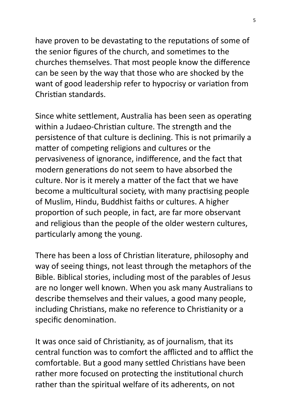have proven to be devastating to the reputations of some of the senior figures of the church, and sometimes to the churches themselves. That most people know the difference can be seen by the way that those who are shocked by the want of good leadership refer to hypocrisy or variation from Christian standards.

Since white settlement, Australia has been seen as operating within a Judaeo-Christian culture. The strength and the persistence of that culture is declining. This is not primarily a matter of competing religions and cultures or the pervasiveness of ignorance, indifference, and the fact that modern generations do not seem to have absorbed the culture. Nor is it merely a matter of the fact that we have become a multicultural society, with many practising people of Muslim, Hindu, Buddhist faiths or cultures. A higher proportion of such people, in fact, are far more observant and religious than the people of the older western cultures, particularly among the young.

There has been a loss of Christian literature, philosophy and way of seeing things, not least through the metaphors of the Bible. Biblical stories, including most of the parables of Jesus are no longer well known. When you ask many Australians to describe themselves and their values, a good many people, including Christians, make no reference to Christianity or a specific denomination.

It was once said of Christianity, as of journalism, that its central function was to comfort the afflicted and to afflict the comfortable. But a good many settled Christians have been rather more focused on protecting the institutional church rather than the spiritual welfare of its adherents, on not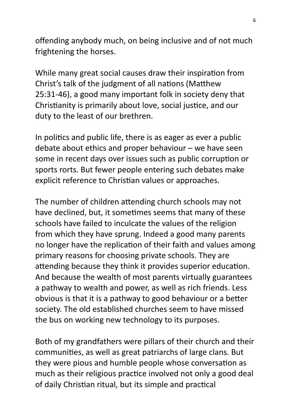offending anybody much, on being inclusive and of not much frightening the horses.

While many great social causes draw their inspiration from Christ's talk of the judgment of all nations (Matthew 25:31-46), a good many important folk in society deny that Christianity is primarily about love, social justice, and our duty to the least of our brethren.

In politics and public life, there is as eager as ever a public debate about ethics and proper behaviour  $-$  we have seen some in recent days over issues such as public corruption or sports rorts. But fewer people entering such debates make explicit reference to Christian values or approaches.

The number of children attending church schools may not have declined, but, it sometimes seems that many of these schools have failed to inculcate the values of the religion from which they have sprung. Indeed a good many parents no longer have the replication of their faith and values among primary reasons for choosing private schools. They are attending because they think it provides superior education. And because the wealth of most parents virtually guarantees a pathway to wealth and power, as well as rich friends. Less obvious is that it is a pathway to good behaviour or a better society. The old established churches seem to have missed the bus on working new technology to its purposes.

Both of my grandfathers were pillars of their church and their communities, as well as great patriarchs of large clans. But they were pious and humble people whose conversation as much as their religious practice involved not only a good deal of daily Christian ritual, but its simple and practical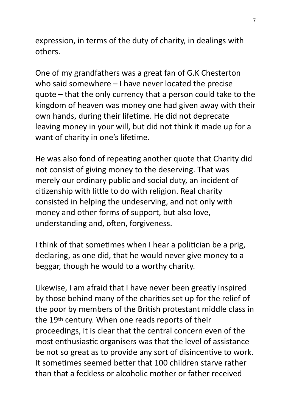expression, in terms of the duty of charity, in dealings with others. 

One of my grandfathers was a great fan of G.K Chesterton who said somewhere  $-1$  have never located the precise quote  $-$  that the only currency that a person could take to the kingdom of heaven was money one had given away with their own hands, during their lifetime. He did not deprecate leaving money in your will, but did not think it made up for a want of charity in one's lifetime.

He was also fond of repeating another quote that Charity did not consist of giving money to the deserving. That was merely our ordinary public and social duty, an incident of citizenship with little to do with religion. Real charity consisted in helping the undeserving, and not only with money and other forms of support, but also love, understanding and, often, forgiveness.

I think of that sometimes when I hear a politician be a prig, declaring, as one did, that he would never give money to a beggar, though he would to a worthy charity.

Likewise, I am afraid that I have never been greatly inspired by those behind many of the charities set up for the relief of the poor by members of the British protestant middle class in the 19<sup>th</sup> century. When one reads reports of their proceedings, it is clear that the central concern even of the most enthusiastic organisers was that the level of assistance be not so great as to provide any sort of disincentive to work. It sometimes seemed better that 100 children starve rather than that a feckless or alcoholic mother or father received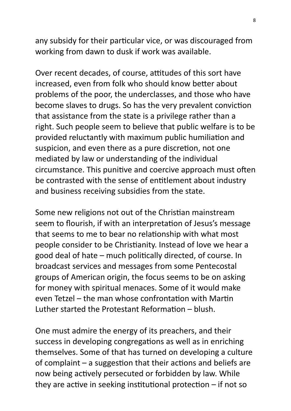any subsidy for their particular vice, or was discouraged from working from dawn to dusk if work was available.

Over recent decades, of course, attitudes of this sort have increased, even from folk who should know better about problems of the poor, the underclasses, and those who have become slaves to drugs. So has the very prevalent conviction that assistance from the state is a privilege rather than a right. Such people seem to believe that public welfare is to be provided reluctantly with maximum public humiliation and suspicion, and even there as a pure discretion, not one mediated by law or understanding of the individual circumstance. This punitive and coercive approach must often be contrasted with the sense of entitlement about industry and business receiving subsidies from the state.

Some new religions not out of the Christian mainstream seem to flourish, if with an interpretation of Jesus's message that seems to me to bear no relationship with what most people consider to be Christianity. Instead of love we hear a good deal of hate – much politically directed, of course. In broadcast services and messages from some Pentecostal groups of American origin, the focus seems to be on asking for money with spiritual menaces. Some of it would make even Tetzel – the man whose confrontation with Martin Luther started the Protestant Reformation  $-$  blush.

One must admire the energy of its preachers, and their success in developing congregations as well as in enriching themselves. Some of that has turned on developing a culture of complaint  $-$  a suggestion that their actions and beliefs are now being actively persecuted or forbidden by law. While they are active in seeking institutional protection  $-$  if not so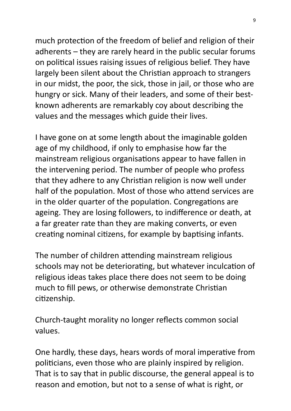much protection of the freedom of belief and religion of their adherents  $-$  they are rarely heard in the public secular forums on political issues raising issues of religious belief. They have largely been silent about the Christian approach to strangers in our midst, the poor, the sick, those in jail, or those who are hungry or sick. Many of their leaders, and some of their bestknown adherents are remarkably coy about describing the values and the messages which guide their lives.

I have gone on at some length about the imaginable golden age of my childhood, if only to emphasise how far the mainstream religious organisations appear to have fallen in the intervening period. The number of people who profess that they adhere to any Christian religion is now well under half of the population. Most of those who attend services are in the older quarter of the population. Congregations are ageing. They are losing followers, to indifference or death, at a far greater rate than they are making converts, or even creating nominal citizens, for example by baptising infants.

The number of children attending mainstream religious schools may not be deteriorating, but whatever inculcation of religious ideas takes place there does not seem to be doing much to fill pews, or otherwise demonstrate Christian citizenship.

Church-taught morality no longer reflects common social values. 

One hardly, these days, hears words of moral imperative from politicians, even those who are plainly inspired by religion. That is to say that in public discourse, the general appeal is to reason and emotion, but not to a sense of what is right, or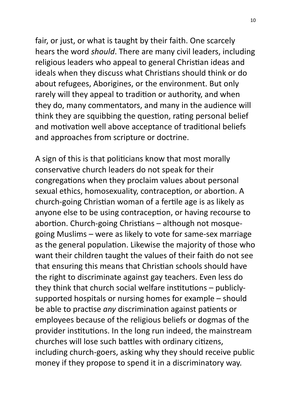fair, or just, or what is taught by their faith. One scarcely hears the word *should*. There are many civil leaders, including religious leaders who appeal to general Christian ideas and ideals when they discuss what Christians should think or do about refugees, Aborigines, or the environment. But only rarely will they appeal to tradition or authority, and when they do, many commentators, and many in the audience will think they are squibbing the question, rating personal belief and motivation well above acceptance of traditional beliefs and approaches from scripture or doctrine.

A sign of this is that politicians know that most morally conservative church leaders do not speak for their congregations when they proclaim values about personal sexual ethics, homosexuality, contraception, or abortion. A church-going Christian woman of a fertile age is as likely as anyone else to be using contraception, or having recourse to abortion. Church-going Christians – although not mosquegoing Muslims - were as likely to vote for same-sex marriage as the general population. Likewise the majority of those who want their children taught the values of their faith do not see that ensuring this means that Christian schools should have the right to discriminate against gay teachers. Even less do they think that church social welfare institutions  $-$  publiclysupported hospitals or nursing homes for example  $-$  should be able to practise *any* discrimination against patients or employees because of the religious beliefs or dogmas of the provider institutions. In the long run indeed, the mainstream churches will lose such battles with ordinary citizens, including church-goers, asking why they should receive public money if they propose to spend it in a discriminatory way.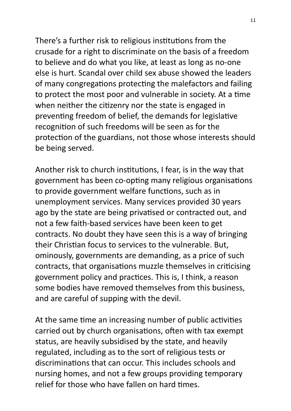There's a further risk to religious institutions from the crusade for a right to discriminate on the basis of a freedom to believe and do what you like, at least as long as no-one else is hurt. Scandal over child sex abuse showed the leaders of many congregations protecting the malefactors and failing to protect the most poor and vulnerable in society. At a time when neither the citizenry nor the state is engaged in preventing freedom of belief, the demands for legislative recognition of such freedoms will be seen as for the protection of the guardians, not those whose interests should be being served.

Another risk to church institutions, I fear, is in the way that government has been co-opting many religious organisations to provide government welfare functions, such as in unemployment services. Many services provided 30 years ago by the state are being privatised or contracted out, and not a few faith-based services have been keen to get contracts. No doubt they have seen this is a way of bringing their Christian focus to services to the vulnerable. But, ominously, governments are demanding, as a price of such contracts, that organisations muzzle themselves in criticising government policy and practices. This is, I think, a reason some bodies have removed themselves from this business, and are careful of supping with the devil.

At the same time an increasing number of public activities carried out by church organisations, often with tax exempt status, are heavily subsidised by the state, and heavily regulated, including as to the sort of religious tests or discriminations that can occur. This includes schools and nursing homes, and not a few groups providing temporary relief for those who have fallen on hard times.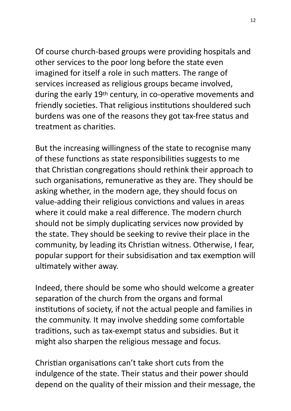Of course church-based groups were providing hospitals and other services to the poor long before the state even imagined for itself a role in such matters. The range of services increased as religious groups became involved, during the early 19<sup>th</sup> century, in co-operative movements and friendly societies. That religious institutions shouldered such burdens was one of the reasons they got tax-free status and treatment as charities.

But the increasing willingness of the state to recognise many of these functions as state responsibilities suggests to me that Christian congregations should rethink their approach to such organisations, remunerative as they are. They should be asking whether, in the modern age, they should focus on value-adding their religious convictions and values in areas where it could make a real difference. The modern church should not be simply duplicating services now provided by the state. They should be seeking to revive their place in the community, by leading its Christian witness. Otherwise, I fear, popular support for their subsidisation and tax exemption will ultimately wither away.

Indeed, there should be some who should welcome a greater separation of the church from the organs and formal institutions of society, if not the actual people and families in the community. It may involve shedding some comfortable traditions, such as tax-exempt status and subsidies. But it might also sharpen the religious message and focus.

Christian organisations can't take short cuts from the indulgence of the state. Their status and their power should depend on the quality of their mission and their message, the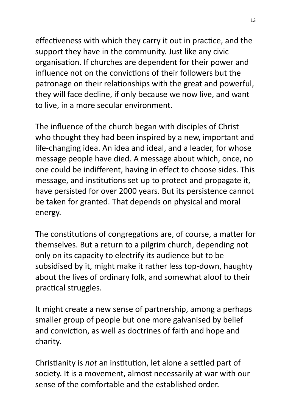effectiveness with which they carry it out in practice, and the support they have in the community. Just like any civic organisation. If churches are dependent for their power and influence not on the convictions of their followers but the patronage on their relationships with the great and powerful. they will face decline, if only because we now live, and want to live, in a more secular environment.

The influence of the church began with disciples of Christ who thought they had been inspired by a new, important and life-changing idea. An idea and ideal, and a leader, for whose message people have died. A message about which, once, no one could be indifferent, having in effect to choose sides. This message, and institutions set up to protect and propagate it, have persisted for over 2000 years. But its persistence cannot be taken for granted. That depends on physical and moral energy. 

The constitutions of congregations are, of course, a matter for themselves. But a return to a pilgrim church, depending not only on its capacity to electrify its audience but to be subsidised by it, might make it rather less top-down, haughty about the lives of ordinary folk, and somewhat aloof to their practical struggles.

It might create a new sense of partnership, among a perhaps smaller group of people but one more galvanised by belief and conviction, as well as doctrines of faith and hope and charity. 

Christianity is *not* an institution, let alone a settled part of society. It is a movement, almost necessarily at war with our sense of the comfortable and the established order.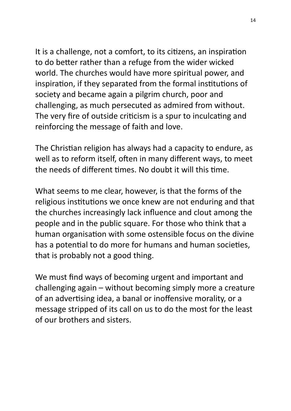It is a challenge, not a comfort, to its citizens, an inspiration to do better rather than a refuge from the wider wicked world. The churches would have more spiritual power, and inspiration, if they separated from the formal institutions of society and became again a pilgrim church, poor and challenging, as much persecuted as admired from without. The very fire of outside criticism is a spur to inculcating and reinforcing the message of faith and love.

The Christian religion has always had a capacity to endure, as well as to reform itself, often in many different ways, to meet the needs of different times. No doubt it will this time.

What seems to me clear, however, is that the forms of the religious institutions we once knew are not enduring and that the churches increasingly lack influence and clout among the people and in the public square. For those who think that a human organisation with some ostensible focus on the divine has a potential to do more for humans and human societies, that is probably not a good thing.

We must find ways of becoming urgent and important and challenging  $a$ gain – without becoming simply more a creature of an advertising idea, a banal or inoffensive morality, or a message stripped of its call on us to do the most for the least of our brothers and sisters.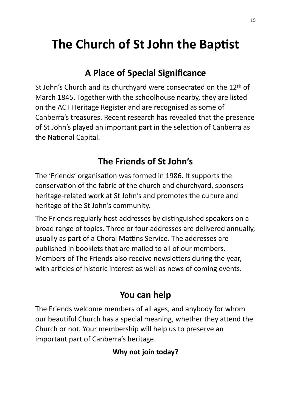## The Church of St John the Baptist

#### **A Place of Special Significance**

St John's Church and its churchyard were consecrated on the 12th of March 1845. Together with the schoolhouse nearby, they are listed on the ACT Heritage Register and are recognised as some of Canberra's treasures. Recent research has revealed that the presence of St John's played an important part in the selection of Canberra as the National Capital.

### **The Friends of St John's**

The 'Friends' organisation was formed in 1986. It supports the conservation of the fabric of the church and churchyard, sponsors heritage-related work at St John's and promotes the culture and heritage of the St John's community.

The Friends regularly host addresses by distinguished speakers on a broad range of topics. Three or four addresses are delivered annually, usually as part of a Choral Mattins Service. The addresses are published in booklets that are mailed to all of our members. Members of The Friends also receive newsletters during the year. with articles of historic interest as well as news of coming events.

#### You can help

The Friends welcome members of all ages, and anybody for whom our beautiful Church has a special meaning, whether they attend the Church or not. Your membership will help us to preserve an important part of Canberra's heritage.

#### **Why not join today?**